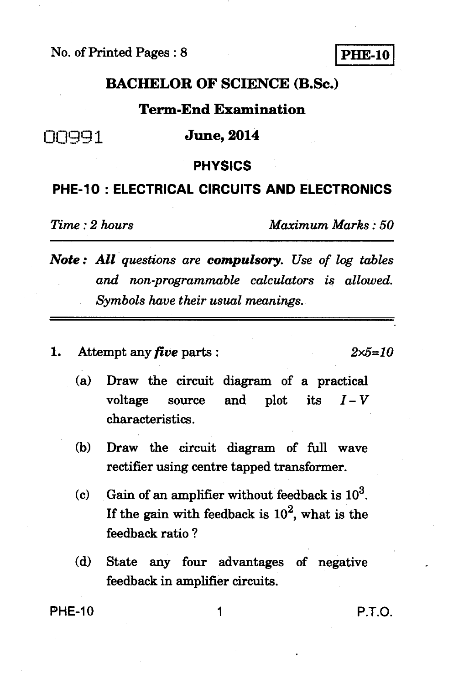No. of Printed Pages : 8 **PHE-10** 

## **BACHELOR OF SCIENCE (B.Sc.)**

## **Term-End Examination**

**00qq1 June, 2014** 

#### **PHYSICS**

### **PHE-10 : ELECTRICAL CIRCUITS AND ELECTRONICS**

*Time : 2 hours Maximum Marks : 50* 

*Note : All questions are compulsory. Use of log tables and non-programmable calculators is allowed. Symbols have their usual meanings.* 

**1. Attempt any** *five* **parts :** *2x5=10* 

- **(a) Draw the circuit diagram of a practical**  voltage source and plot its  $I-V$ **characteristics.**
- **(b) Draw the circuit diagram of full wave rectifier using centre tapped transformer.**
- **(c) Gain of an amplifier without feedback is 103.**  If the gain with feedback is  $10^2$ , what is the **feedback ratio ?**
- **(d) State any four advantages of negative feedback in amplifier circuits.**

**PHE-10** 1 **P.T.O.**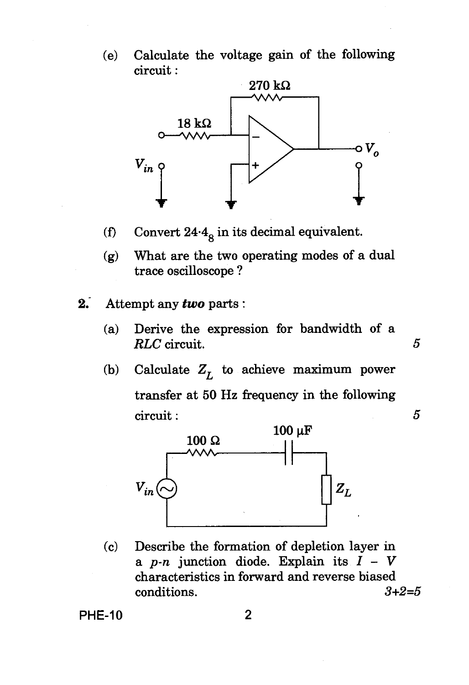(e) Calculate the voltage gain of the following circuit :



- (f) Convert  $24.4<sub>8</sub>$  in its decimal equivalent.
- (g) What are the two operating modes of a dual trace oscilloscope ?
- 2. Attempt any *two* parts :
	- (a) Derive the expression for bandwidth of a *RLC* circuit. *5*
	- (b) Calculate  $Z_L$  to achieve maximum power transfer at 50 Hz frequency in the following



(c) Describe the formation of depletion layer in <sup>a</sup>*p-n* junction diode. Explain its *I -* <sup>V</sup> characteristics in forward and reverse biased conditions. *3+2=5* 

PHE-10 2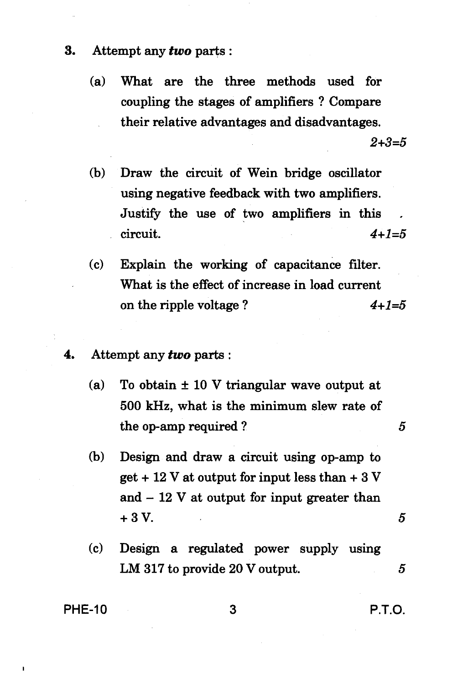- **3. Attempt any** *two* **parts :** 
	- **(a) What are the three methods used for coupling the stages of amplifiers ? Compare their relative advantages and disadvantages.**

 $2 + 3 = 5$ 

- **(b) Draw the circuit of Wein bridge oscillator using negative feedback with two amplifiers. Justify the use of two amplifiers in this circuit.** *4+1=5*
- **(c) Explain the working of capacitance filter. What is the effect of increase in load current**  on the ripple voltage ?  $4+1=5$
- **4. Attempt any** *two* **parts :** 
	- **(a) To obtain ± 10 V triangular wave output at 500 kHz, what is the minimum slew rate of the op-amp required ?** 5
	- **(b) Design and draw a circuit using op-amp to get + 12 V at output for input less than + 3 V and — 12 V at output for input greater than + 3 V.**  $5$
	- **(c) Design a regulated power supply using LM 317 to provide 20 V output. 5**

**PHE-10 3 P.T.O.**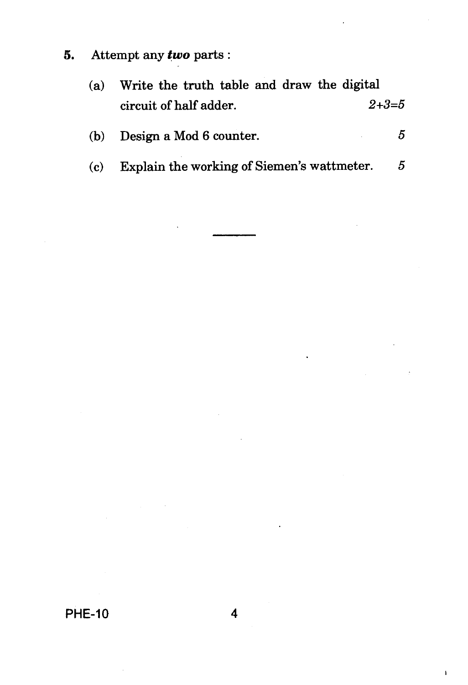5. Attempt any *two* parts :

| (a) | Write the truth table and draw the digital |             |
|-----|--------------------------------------------|-------------|
|     | circuit of half adder.                     | $2 + 3 = 5$ |

| (b) Design a Mod 6 counter. |  |
|-----------------------------|--|
|                             |  |

(c) Explain the working of Siemen's wattmeter. 5

f,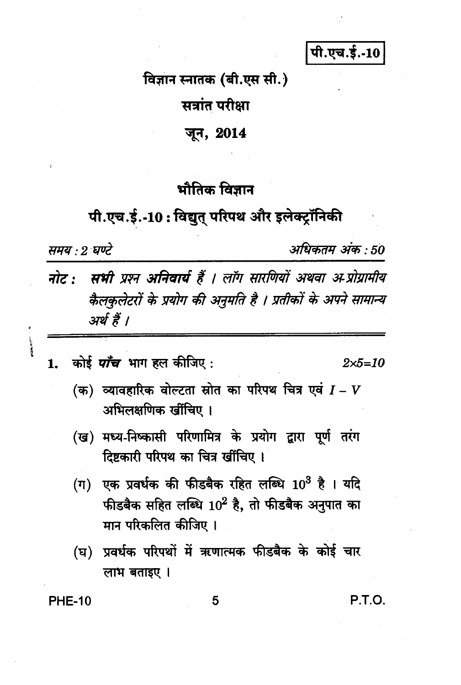पी.एच.ई.-10

विज्ञान स्नातक (बी.एस सी.)

सत्रांत परीक्षा

#### जून, 2014

# भौतिक विज्ञान

# पी.एच.ई.-10: विद्युत् परिपथ और इलेक्ट्रॉनिकी

समय : २ घण्टे

अधिकतम अंक : 50

- नोट: सभी प्रश्न अनिवार्य हैं । लॉग सारणियों अथवा अ-प्रोग्रामीय कैलकलेटरों के प्रयोग की अनुमति है । प्रतीकों के अपने सामान्य अर्थ हैं ।
- कोई *पाँच* भाग हल कीजिए :  $\mathbf{1}$

 $2 \times 5 = 10$ 

- (क) व्यावहारिक वोल्टता स्रोत का परिपथ चित्र एवं  $I V$ अभिलक्षणिक खींचिए ।
- (ख) मध्य-निष्कासी परिणामित्र के प्रयोग द्वारा पूर्ण तरंग दिष्टकारी परिपथ का चित्र खींचिए ।
- $\langle$ ग) एक प्रवर्धक की फीडबैक रहित लब्धि  $10^3$  है। यदि फीडबैक सहित लब्धि  $10^2$  है, तो फीडबैक अनुपात का मान परिकलित कीजिए ।
- (घ) प्रवर्धक परिपथों में ऋणात्मक फीडबैक के कोई चार लाभ बताइए ।

**PHE-10** 

P.T.O.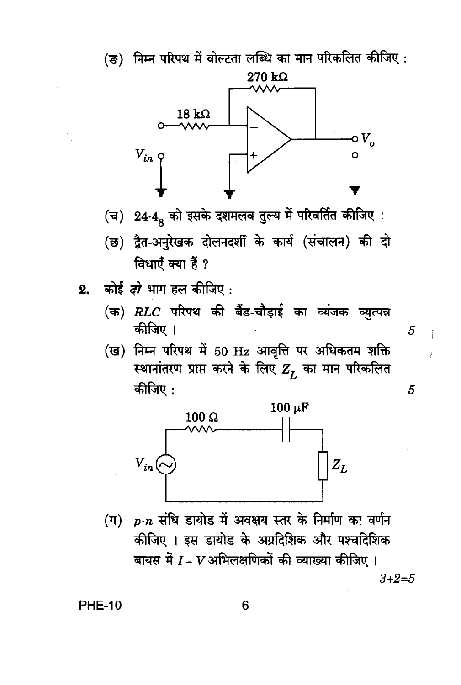



- (च) 24.4. को इसके दशमलव तुल्य में परिवर्तित कीजिए।
- (छ) द्वैत-अनुरेखक दोलनदर्शी के कार्य (संचालन) की दो विधाएँ क्या हैं ?
- कोई *दो* भाग हल कीजिए :  $2.$ 
	- (क)  $RLC$  परिपथ की बैंड-चौड़ाई का व्यंजक व्युत्पन्न कीजिए ।

5

5

(ख) निम्न परिपथ में 50 Hz आवृत्ति पर अधिकतम शक्ति स्थानांतरण प्राप्त करने के लिए  $Z_r$  का मान परिकलित कीजिए :



(ग) p-n संधि डायोड में अवक्षय स्तर के निर्माण का वर्णन कीजिए । इस डायोड के अग्रदिशिक और पश्चदिशिक बायस में  $I$  –  $V$  अभिलक्षणिकों की व्याख्या कीजिए ।  $3 + 2 = 5$ 

**PHE-10** 

6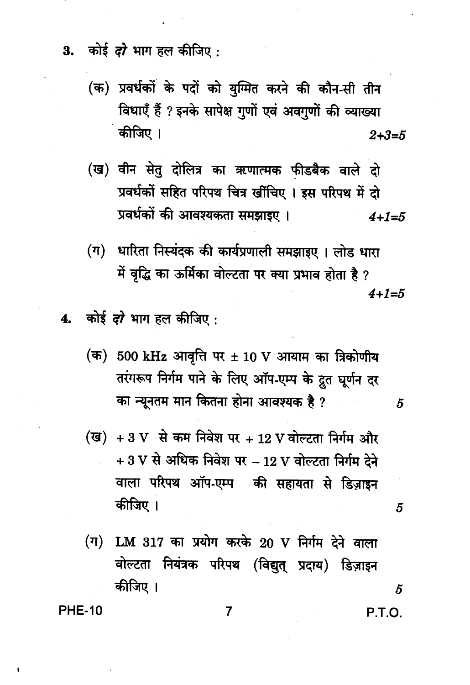कोई *दो* भाग हल कीजिए : 3.

- (क) प्रवर्धकों के पदों को युग्मित करने की कौन-सी तीन विधाएँ हैं ? इनके सापेक्ष गुणों एवं अवगुणों की व्याख्या कीजिए ।  $2 + 3 = 5$
- (ख) वीन सेतु दोलित्र का ऋणात्मक फीडबैक वाले दो प्रवर्धकों सहित परिपथ चित्र खींचिए । इस परिपथ में दो प्रवर्धकों की आवश्यकता समझाइए ।  $4 + 1 = 5$
- धारिता निस्यंदक की कार्यप्रणाली समझाइए । लोड धारा  $(\boldsymbol{\pi})$ में वृद्धि का ऊर्मिका वोल्टता पर क्या प्रभाव होता है ?  $4 + 1 = 5$
- 4. कोई *दो* भाग हल कीजिए .
	- (क) 500 kHz आवृत्ति पर  $\pm$  10 V आयाम का त्रिकोणीय तरंगरूप निर्गम पाने के लिए ऑप-एम्प के द्रुत घूर्णन दर का न्यूनतम मान कितना होना आवश्यक है ?
	- (ख) + 3 V से कम निवेश पर + 12 V वोल्टता निर्गम और  $+3$  V से अधिक निवेश पर  $-12$  V वोल्टता निर्गम देने वाला परिपथ ऑप-एम्प की सहायता से डिज़ाइन कीजिए ।
	- $($ ग) LM 317 का प्रयोग करके 20 V निर्गम देने वाला वोल्टता नियंत्रक परिपथ (विद्युत् प्रदाय) डिज़ाइन कीजिए ।

**PHE-10** 

P.T.O.

5

5

5

7